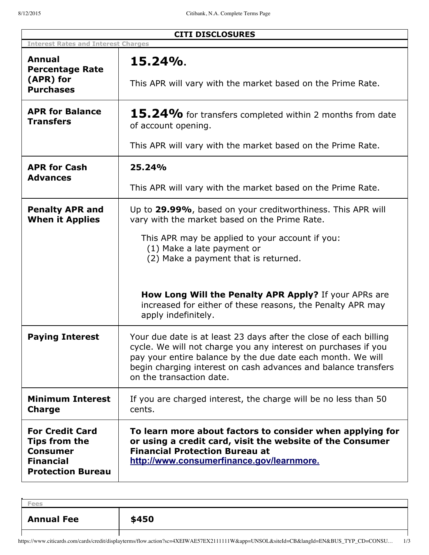| <b>CITI DISCLOSURES</b>                                                                                    |                                                                                                                                                                                                                                                                                                  |
|------------------------------------------------------------------------------------------------------------|--------------------------------------------------------------------------------------------------------------------------------------------------------------------------------------------------------------------------------------------------------------------------------------------------|
| <b>Interest Rates and Interest Charges</b>                                                                 |                                                                                                                                                                                                                                                                                                  |
| Annual<br><b>Percentage Rate</b>                                                                           | 15.24%.                                                                                                                                                                                                                                                                                          |
| (APR) for<br><b>Purchases</b>                                                                              | This APR will vary with the market based on the Prime Rate.                                                                                                                                                                                                                                      |
| <b>APR for Balance</b><br><b>Transfers</b>                                                                 | 15.24% for transfers completed within 2 months from date<br>of account opening.                                                                                                                                                                                                                  |
|                                                                                                            | This APR will vary with the market based on the Prime Rate.                                                                                                                                                                                                                                      |
| <b>APR for Cash</b><br><b>Advances</b>                                                                     | 25.24%                                                                                                                                                                                                                                                                                           |
|                                                                                                            | This APR will vary with the market based on the Prime Rate.                                                                                                                                                                                                                                      |
| <b>Penalty APR and</b><br><b>When it Applies</b>                                                           | Up to 29.99%, based on your creditworthiness. This APR will<br>vary with the market based on the Prime Rate.                                                                                                                                                                                     |
|                                                                                                            | This APR may be applied to your account if you:<br>(1) Make a late payment or<br>(2) Make a payment that is returned.                                                                                                                                                                            |
|                                                                                                            | How Long Will the Penalty APR Apply? If your APRs are<br>increased for either of these reasons, the Penalty APR may<br>apply indefinitely.                                                                                                                                                       |
| <b>Paying Interest</b>                                                                                     | Your due date is at least 23 days after the close of each billing<br>cycle. We will not charge you any interest on purchases if you<br>pay your entire balance by the due date each month. We will<br>begin charging interest on cash advances and balance transfers<br>on the transaction date. |
| <b>Minimum Interest</b><br><b>Charge</b>                                                                   | If you are charged interest, the charge will be no less than 50<br>cents.                                                                                                                                                                                                                        |
| <b>For Credit Card</b><br>Tips from the<br><b>Consumer</b><br><b>Financial</b><br><b>Protection Bureau</b> | To learn more about factors to consider when applying for<br>or using a credit card, visit the website of the Consumer<br><b>Financial Protection Bureau at</b><br>http://www.consumerfinance.gov/learnmore.                                                                                     |

| <b>Annual Fee</b> | \$450 |
|-------------------|-------|
|                   |       |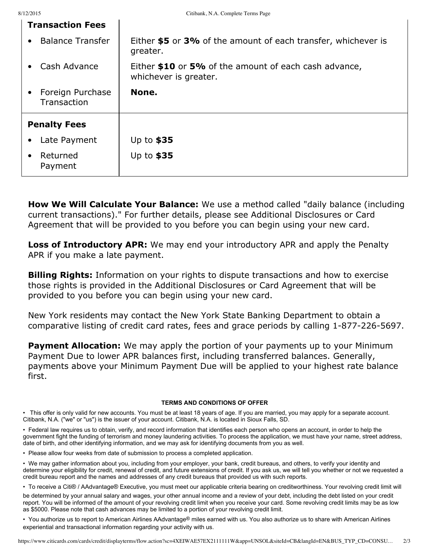| <b>Transaction Fees</b>                      |                                                                                |
|----------------------------------------------|--------------------------------------------------------------------------------|
| <b>Balance Transfer</b><br>$\bullet$         | Either \$5 or 3% of the amount of each transfer, whichever is<br>greater.      |
| Cash Advance<br>$\bullet$                    | Either \$10 or 5% of the amount of each cash advance,<br>whichever is greater. |
| Foreign Purchase<br>$\bullet$<br>Transaction | None.                                                                          |
|                                              |                                                                                |
| <b>Penalty Fees</b>                          |                                                                                |
| Late Payment<br>$\bullet$                    | Up to $$35$                                                                    |

**How We Will Calculate Your Balance:** We use a method called "daily balance (including current transactions)." For further details, please see Additional Disclosures or Card Agreement that will be provided to you before you can begin using your new card.

**Loss of Introductory APR:** We may end your introductory APR and apply the Penalty APR if you make a late payment.

**Billing Rights:** Information on your rights to dispute transactions and how to exercise those rights is provided in the Additional Disclosures or Card Agreement that will be provided to you before you can begin using your new card.

New York residents may contact the New York State Banking Department to obtain a comparative listing of credit card rates, fees and grace periods by calling 1-877-226-5697.

**Payment Allocation:** We may apply the portion of your payments up to your Minimum Payment Due to lower APR balances first, including transferred balances. Generally, payments above your Minimum Payment Due will be applied to your highest rate balance first.

# **TERMS AND CONDITIONS OF OFFER**

• This offer is only valid for new accounts. You must be at least 18 years of age. If you are married, you may apply for a separate account. Citibank, N.A. ("we" or "us") is the issuer of your account. Citibank, N.A. is located in Sioux Falls, SD.

• Federal law requires us to obtain, verify, and record information that identifies each person who opens an account, in order to help the government fight the funding of terrorism and money laundering activities. To process the application, we must have your name, street address, date of birth, and other identifying information, and we may ask for identifying documents from you as well.

• Please allow four weeks from date of submission to process a completed application.

• We may gather information about you, including from your employer, your bank, credit bureaus, and others, to verify your identity and determine your eligibility for credit, renewal of credit, and future extensions of credit. If you ask us, we will tell you whether or not we requested a credit bureau report and the names and addresses of any credit bureaus that provided us with such reports.

• To receive a Citi® / AAdvantage® Executive, you must meet our applicable criteria bearing on creditworthiness. Your revolving credit limit will

be determined by your annual salary and wages, your other annual income and a review of your debt, including the debt listed on your credit report. You will be informed of the amount of your revolving credit limit when you receive your card. Some revolving credit limits may be as low as \$5000. Please note that cash advances may be limited to a portion of your revolving credit limit.

• You authorize us to report to American Airlines AAdvantage® miles earned with us. You also authorize us to share with American Airlines experiential and transactional information regarding your activity with us.